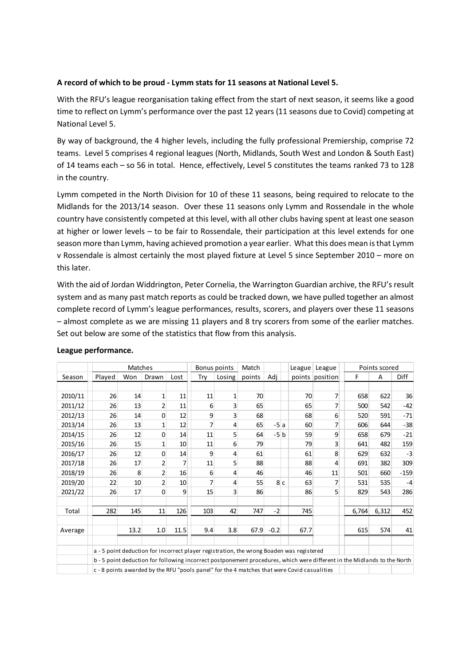# A record of which to be proud - Lymm stats for 11 seasons at National Level 5.

With the RFU's league reorganisation taking effect from the start of next season, it seems like a good time to reflect on Lymm's performance over the past 12 years (11 seasons due to Covid) competing at National Level 5.

By way of background, the 4 higher levels, including the fully professional Premiership, comprise 72 teams. Level 5 comprises 4 regional leagues (North, Midlands, South West and London & South East) of 14 teams each – so 56 in total. Hence, effectively, Level 5 constitutes the teams ranked 73 to 128 in the country.

Lymm competed in the North Division for 10 of these 11 seasons, being required to relocate to the Midlands for the 2013/14 season. Over these 11 seasons only Lymm and Rossendale in the whole country have consistently competed at this level, with all other clubs having spent at least one season at higher or lower levels – to be fair to Rossendale, their participation at this level extends for one season more than Lymm, having achieved promotion a year earlier. What this does mean is that Lymm v Rossendale is almost certainly the most played fixture at Level 5 since September 2010 – more on this later. se 11 seasons, being required to relocate to the<br>seasons only Lymm and Rossendale in the whole<br>hall other clubs having spent at least one season<br>their participation at this level extends for one<br>a year earlier. What this It is country.<br>
In completed in the North Division for 10 of these 11 seasons, being required to relocate to the<br>
Itidiands for the 2013/14 season. Over these 11 seasons only Lymm and Rossendale in the whole<br>
Durinfy have

| Midlands for the 2013/14 season. Over these 11 seasons only Lymm and Rossendale in the whole<br>country have consistently competed at this level, with all other clubs having spent at least one season<br>at higher or lower levels - to be fair to Rossendale, their participation at this level extends for one<br>season more than Lymm, having achieved promotion a year earlier. What this does mean is that Lymm<br>v Rossendale is almost certainly the most played fixture at Level 5 since September 2010 - more on<br>this later. |                                                                                          |          |                     |                 |                  |                             |              |              |          |                                                                                                                          |            |               |                |
|----------------------------------------------------------------------------------------------------------------------------------------------------------------------------------------------------------------------------------------------------------------------------------------------------------------------------------------------------------------------------------------------------------------------------------------------------------------------------------------------------------------------------------------------|------------------------------------------------------------------------------------------|----------|---------------------|-----------------|------------------|-----------------------------|--------------|--------------|----------|--------------------------------------------------------------------------------------------------------------------------|------------|---------------|----------------|
| With the aid of Jordan Widdrington, Peter Cornelia, the Warrington Guardian archive, the RFU's result<br>system and as many past match reports as could be tracked down, we have pulled together an almost<br>complete record of Lymm's league performances, results, scorers, and players over these 11 seasons<br>- almost complete as we are missing 11 players and 8 try scorers from some of the earlier matches.<br>Set out below are some of the statistics that flow from this analysis.<br>League performance.                      |                                                                                          |          |                     |                 |                  |                             |              |              |          |                                                                                                                          |            |               |                |
|                                                                                                                                                                                                                                                                                                                                                                                                                                                                                                                                              |                                                                                          | Matches  |                     |                 |                  | Bonus points                | Match        |              |          | League League                                                                                                            |            | Points scored |                |
| Season                                                                                                                                                                                                                                                                                                                                                                                                                                                                                                                                       | Played                                                                                   | Won      | Drawn               | Lost            | Try              | Losing                      | points   Adj |              |          | points position                                                                                                          | F.         | А             | Diff           |
|                                                                                                                                                                                                                                                                                                                                                                                                                                                                                                                                              |                                                                                          |          |                     |                 |                  |                             |              |              |          |                                                                                                                          |            |               |                |
| 2010/11                                                                                                                                                                                                                                                                                                                                                                                                                                                                                                                                      | 26                                                                                       | 14       | 1                   | 11              | 11               | $\mathbf{1}$                | 70           |              | 70       | 7 <sup>1</sup>                                                                                                           | 658        | 622           | 36             |
| 2011/12<br>2012/13                                                                                                                                                                                                                                                                                                                                                                                                                                                                                                                           | 26<br>26                                                                                 | 13<br>14 | $\overline{2}$<br>0 | 11<br>12        | $\sqrt{6}$<br>9  | $\mathsf 3$<br>$\mathbf{3}$ | 65<br>68     |              | 65<br>68 | 7 <sup>1</sup><br>$6 \mid$                                                                                               | 500<br>520 | 542<br>591    | $-42$<br>$-71$ |
| 2013/14                                                                                                                                                                                                                                                                                                                                                                                                                                                                                                                                      | 26                                                                                       | 13       | $\mathbf{1}$        | 12              | $\overline{7}$   | $\overline{4}$              | 65           | $-5a$        | 60       | 7 <sup>1</sup>                                                                                                           | 606        | 644           | $-38$          |
| 2014/15                                                                                                                                                                                                                                                                                                                                                                                                                                                                                                                                      | 26                                                                                       | 12       | 0                   | 14              | 11               | 5                           | 64           | $-5$ b       | 59       | 9                                                                                                                        | 658        | 679           | $-21$          |
| 2015/16                                                                                                                                                                                                                                                                                                                                                                                                                                                                                                                                      | 26                                                                                       | 15       | 1                   | 10              | 11               | $\sqrt{6}$                  | 79           |              | 79       | 3 <sup>1</sup>                                                                                                           | 641        | 482           | 159            |
| 2016/17                                                                                                                                                                                                                                                                                                                                                                                                                                                                                                                                      | 26                                                                                       | 12       | $\mathbf 0$         | 14              | $\overline{9}$   | $\overline{4}$              | 61           |              | 61       | 8 <sup>1</sup>                                                                                                           | 629        | 632           | $-3$           |
| 2017/18                                                                                                                                                                                                                                                                                                                                                                                                                                                                                                                                      | 26                                                                                       | 17       | $\overline{2}$      | $\overline{7}$  | 11               | 5                           | 88           |              | 88       | $\overline{4}$                                                                                                           | 691        | 382           | 309            |
| 2018/19                                                                                                                                                                                                                                                                                                                                                                                                                                                                                                                                      | 26                                                                                       | $\bf 8$  | $\overline{2}$      | 16              | $6 \overline{6}$ | $\overline{4}$              | 46           |              | 46       | 11                                                                                                                       | 501        | 660           | $-159$         |
| 2019/20                                                                                                                                                                                                                                                                                                                                                                                                                                                                                                                                      | 22                                                                                       | 10       | $\overline{2}$      | 10 <sup>1</sup> | $\overline{7}$   | $\overline{4}$              | 55           | 8c           | 63       | 7 <sup>1</sup>                                                                                                           | 531        | 535           | $-4$           |
| 2021/22                                                                                                                                                                                                                                                                                                                                                                                                                                                                                                                                      | 26                                                                                       | 17       | $\overline{0}$      | 9               | 15               | $\overline{3}$              | 86           |              | 86       | 5 <sup>1</sup>                                                                                                           | 829        | 543           | 286            |
|                                                                                                                                                                                                                                                                                                                                                                                                                                                                                                                                              |                                                                                          |          |                     |                 |                  |                             |              |              |          |                                                                                                                          |            |               |                |
| Total                                                                                                                                                                                                                                                                                                                                                                                                                                                                                                                                        | 282                                                                                      | 145      | 11                  | 126             | 103              | 42                          | 747          | $-2$         | 745      |                                                                                                                          | 6,764      | 6,312         | 452            |
| Average                                                                                                                                                                                                                                                                                                                                                                                                                                                                                                                                      |                                                                                          | 13.2     | 1.0                 | 11.5            | 9.4              | 3.8                         |              | $67.9 - 0.2$ | 67.7     |                                                                                                                          | 615        | 574           | 41             |
|                                                                                                                                                                                                                                                                                                                                                                                                                                                                                                                                              |                                                                                          |          |                     |                 |                  |                             |              |              |          |                                                                                                                          |            |               |                |
|                                                                                                                                                                                                                                                                                                                                                                                                                                                                                                                                              | a - 5 point deduction for incorrect player registration, the wrong Boaden was registered |          |                     |                 |                  |                             |              |              |          |                                                                                                                          |            |               |                |
|                                                                                                                                                                                                                                                                                                                                                                                                                                                                                                                                              |                                                                                          |          |                     |                 |                  |                             |              |              |          | b - 5 point deduction for following incorrect postponement procedures, which were different in the Midlands to the North |            |               |                |
|                                                                                                                                                                                                                                                                                                                                                                                                                                                                                                                                              |                                                                                          |          |                     |                 |                  |                             |              |              |          |                                                                                                                          |            |               |                |

#### League performance.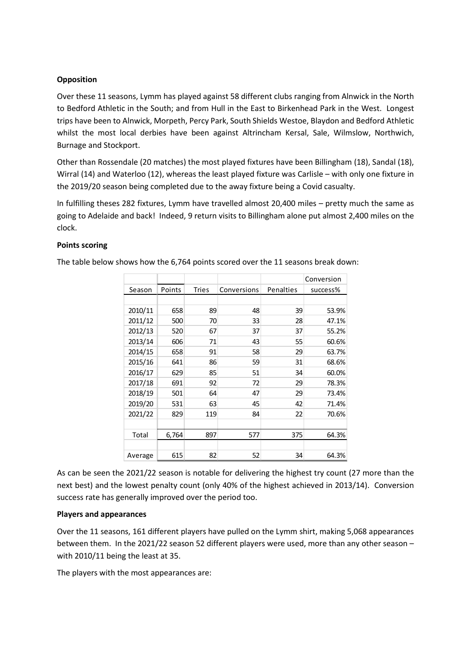### **Opposition**

Over these 11 seasons, Lymm has played against 58 different clubs ranging from Alnwick in the North to Bedford Athletic in the South; and from Hull in the East to Birkenhead Park in the West. Longest trips have been to Alnwick, Morpeth, Percy Park, South Shields Westoe, Blaydon and Bedford Athletic whilst the most local derbies have been against Altrincham Kersal, Sale, Wilmslow, Northwich, Burnage and Stockport. ns, Lymm has played against 58 different clubs ranging from Alnwick in the North<br>
n the South; and from Hull in the East to Birkenhead Park in the West. Longest<br>
nowick, Morpeth, Percy Park, South Shields Westoe, Blaydon a

Other than Rossendale (20 matches) the most played fixtures have been Billingham (18), Sandal (18), Wirral (14) and Waterloo (12), whereas the least played fixture was Carlisle – with only one fixture in the 2019/20 season being completed due to the away fixture being a Covid casualty.

In fulfilling theses 282 fixtures, Lymm have travelled almost 20,400 miles – pretty much the same as going to Adelaide and back! Indeed, 9 return visits to Billingham alone put almost 2,400 miles on the clock.

# Points scoring

| port.   |        |       | Alnwick, Morpeth, Percy Park, South Shields Westoe, Blaydon and Bedford Athletic<br>ocal derbies have been against Altrincham Kersal, Sale, Wilmslow, Northwich,                                                                                  |           |                        |
|---------|--------|-------|---------------------------------------------------------------------------------------------------------------------------------------------------------------------------------------------------------------------------------------------------|-----------|------------------------|
|         |        |       | dale (20 matches) the most played fixtures have been Billingham (18), Sandal (18),<br>aterloo (12), whereas the least played fixture was Carlisle - with only one fixture in<br>n being completed due to the away fixture being a Covid casualty. |           |                        |
|         |        |       | 282 fixtures, Lymm have travelled almost 20,400 miles - pretty much the same as<br>and back! Indeed, 9 return visits to Billingham alone put almost 2,400 miles on the                                                                            |           |                        |
| Season  | Points | Tries | nows how the 6,764 points scored over the 11 seasons break down:<br>Conversions                                                                                                                                                                   | Penalties | Conversion<br>success% |
|         |        |       |                                                                                                                                                                                                                                                   |           |                        |
| 2010/11 | 658    | 89    | 48                                                                                                                                                                                                                                                | 39        | 53.9%                  |
| 2011/12 | 500    | 70    | 33                                                                                                                                                                                                                                                | 28        | 47.1%                  |
| 2012/13 | 520    | 67    | 37                                                                                                                                                                                                                                                | 37        | 55.2%                  |
| 2013/14 | 606    | 71    | 43                                                                                                                                                                                                                                                | 55        | 60.6%                  |
| 2014/15 | 658    | 91    | 58                                                                                                                                                                                                                                                | 29        | 63.7%                  |
| 2015/16 | 641    | 86    | 59                                                                                                                                                                                                                                                | 31        | 68.6%                  |
| 2016/17 | 629    | 85    | 51                                                                                                                                                                                                                                                | 34        | 60.0%                  |
| 2017/18 | 691    | 92    | 72                                                                                                                                                                                                                                                | 29        | 78.3%                  |
|         | 501    | 64    | 47                                                                                                                                                                                                                                                | 29        | 73.4%                  |
| 2018/19 | 531    | 63    | 45                                                                                                                                                                                                                                                | 42        | 71.4%                  |
| 2019/20 |        |       | 84                                                                                                                                                                                                                                                | 22        | 70.6%                  |
| 2021/22 | 829    | 119   |                                                                                                                                                                                                                                                   |           |                        |
| Total   | 6,764  | 897   | 577                                                                                                                                                                                                                                               | 375       | 64.3%                  |

The table below shows how the 6,764 points scored over the 11 seasons break down:

As can be seen the 2021/22 season is notable for delivering the highest try count (27 more than the next best) and the lowest penalty count (only 40% of the highest achieved in 2013/14). Conversion success rate has generally improved over the period too.

### Players and appearances

Over the 11 seasons, 161 different players have pulled on the Lymm shirt, making 5,068 appearances between them. In the 2021/22 season 52 different players were used, more than any other season – with 2010/11 being the least at 35.

The players with the most appearances are: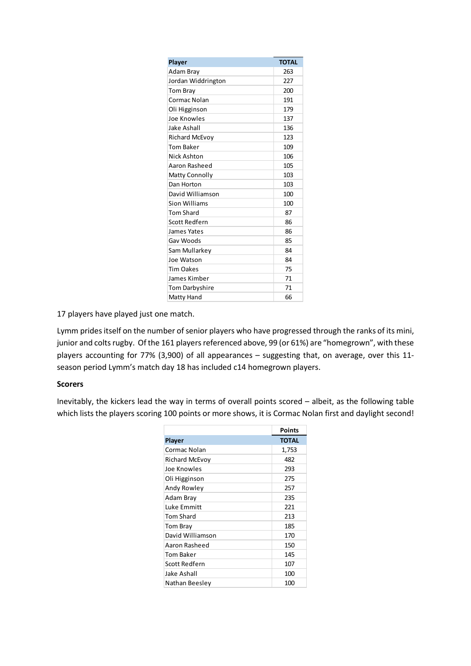| Player                        | <b>TOTAL</b> |
|-------------------------------|--------------|
| Adam Bray                     | 263          |
| Jordan Widdrington            | 227          |
| Tom Bray                      | 200          |
| Cormac Nolan<br>Oli Higginson | 191<br>179   |
| Joe Knowles                   | 137          |
| Jake Ashall                   | 136          |
| Richard McEvoy                | 123          |
| <b>Tom Baker</b>              | 109          |
| Nick Ashton                   | 106          |
| Aaron Rasheed                 | 105          |
| Matty Connolly                | 103          |
| Dan Horton                    | 103          |
| David Williamson              | 100          |
| Sion Williams                 | 100          |
| <b>Tom Shard</b>              | 87           |
| Scott Redfern                 | 86           |
| James Yates                   | 86           |
| Gav Woods                     | 85           |
| Sam Mullarkey<br>Joe Watson   | 84<br>84     |
|                               | 75           |
|                               | $71\,$       |
| <b>Tim Oakes</b>              |              |
| James Kimber                  |              |
| Tom Darbyshire<br>Matty Hand  | 71<br>66     |

17 players have played just one match.

Lymm prides itself on the number of senior players who have progressed through the ranks of its mini, junior and colts rugby. Of the 161 players referenced above, 99 (or 61%) are "homegrown", with these players accounting for 77% (3,900) of all appearances – suggesting that, on average, over this 11 season period Lymm's match day 18 has included c14 homegrown players. Sam Mularkey<br>
Jose Watoon<br>
The Makes<br>
The Dakes<br>
The Dakes<br>
The Dakes<br>
The Dakes<br>
Player Simple The Considered above, 99 (or 61%) are "homegrown", with these<br>
p.00) of all appearances – suggesting that, on average, over t

### Scorers

Inevitably, the kickers lead the way in terms of overall points scored – albeit, as the following table which lists the players scoring 100 points or more shows, it is Cormac Nolan first and daylight second!

| Joe Watson                                                               | 84           |
|--------------------------------------------------------------------------|--------------|
| <b>Tim Oakes</b>                                                         | 75           |
| James Kimber                                                             | 71           |
| Tom Darbyshire                                                           | 71           |
| Matty Hand                                                               | 66           |
| e match.                                                                 |              |
| ber of senior players who have progressed through the ranks of its mini, |              |
| 161 players referenced above, 99 (or 61%) are "homegrown", with these    |              |
| 3,900) of all appearances - suggesting that, on average, over this 11-   |              |
| day 18 has included c14 homegrown players.                               |              |
|                                                                          |              |
|                                                                          |              |
|                                                                          |              |
|                                                                          |              |
| e way in terms of overall points scored - albeit, as the following table |              |
| 100 points or more shows, it is Cormac Nolan first and daylight second!  |              |
|                                                                          |              |
|                                                                          |              |
|                                                                          | Points       |
| Player                                                                   | <b>TOTAL</b> |
| Cormac Nolan                                                             | 1,753        |
| Richard McEvoy                                                           | 482          |
| Joe Knowles                                                              | 293          |
| Oli Higginson                                                            | 275          |
| Andy Rowley                                                              | 257          |
| Adam Bray                                                                | 235          |
| Luke Emmitt                                                              | 221          |
| Tom Shard                                                                | 213          |
| Tom Bray                                                                 | 185          |
| David Williamson                                                         | 170          |
| Aaron Rasheed                                                            | 150          |
| <b>Tom Baker</b>                                                         | 145          |
| Scott Redfern                                                            | 107          |
| Jake Ashall                                                              | 100          |
| Nathan Beesley                                                           | 100          |